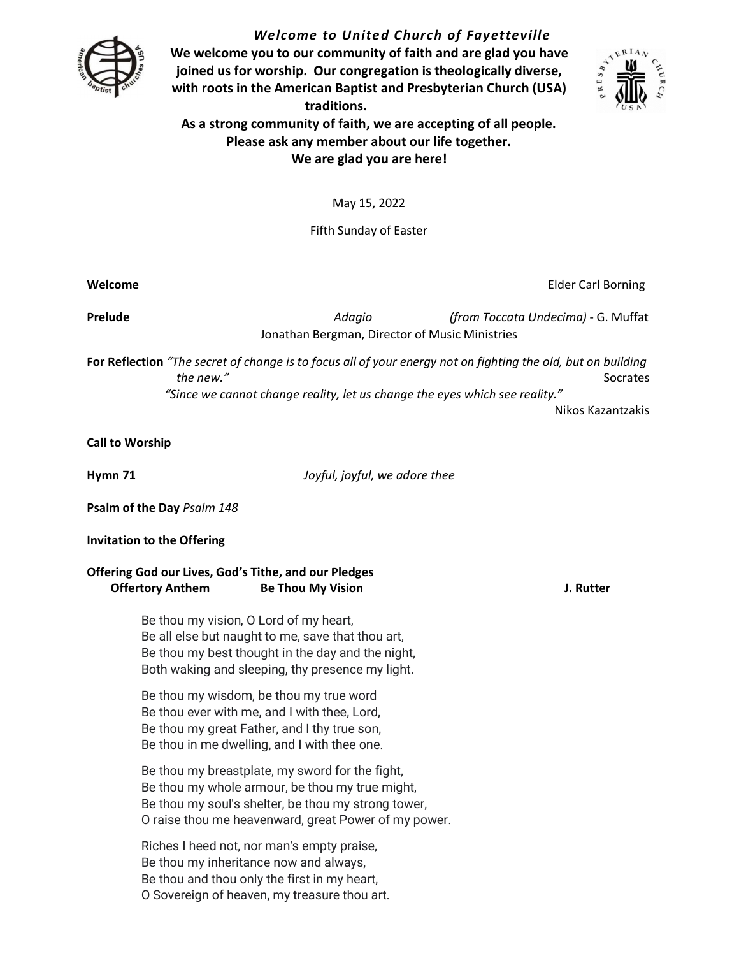

*Welcome to United Church of Fayetteville* **We welcome you to our community of faith and are glad you have joined us for worship. Our congregation is theologically diverse,** 



**traditions. As a strong community of faith, we are accepting of all people. Please ask any member about our life together. We are glad you are here!**

**with roots in the American Baptist and Presbyterian Church (USA)** 

May 15, 2022

Fifth Sunday of Easter

**Prelude** *Adagio (from Toccata Undecima)* G. Muffat Jonathan Bergman, Director of Music Ministries

**For Reflection** *"The secret of change is to focus all of your energy not on fighting the old, but on building the new."* Socrates and the new state of the new state of the set of the set of the set of the set of the set of the set of the set of the set of the set of the set of the set of the set of the set of the set of the set *"Since we cannot change reality, let us change the eyes which see reality."* 

Nikos Kazantzakis

**Call to Worship** 

**Hymn 71** *Joyful, joyful, we adore thee* 

**Psalm of the Day** *Psalm 148* 

**Invitation to the Offering**

**Offering God our Lives, God's Tithe, and our Pledges Offertory Anthem Be Thou My Vision J. Rutter** 

> Be thou my vision, O Lord of my heart, Be all else but naught to me, save that thou art, Be thou my best thought in the day and the night, Both waking and sleeping, thy presence my light.

Be thou my wisdom, be thou my true word Be thou ever with me, and I with thee, Lord, Be thou my great Father, and I thy true son, Be thou in me dwelling, and I with thee one.

Be thou my breastplate, my sword for the fight, Be thou my whole armour, be thou my true might, Be thou my soul's shelter, be thou my strong tower, O raise thou me heavenward, great Power of my power.

Riches I heed not, nor man's empty praise, Be thou my inheritance now and always, Be thou and thou only the first in my heart, O Sovereign of heaven, my treasure thou art.

**Welcome** Elder Carl Borning Carl Borning Carl Borning Carl Borning Carl Borning Carl Borning Carl Borning Carl Borning Carl Borning Carl Borning Carl Borning Carl Borning Carl Borning Carl Borning Carl Borning Carl Bornin